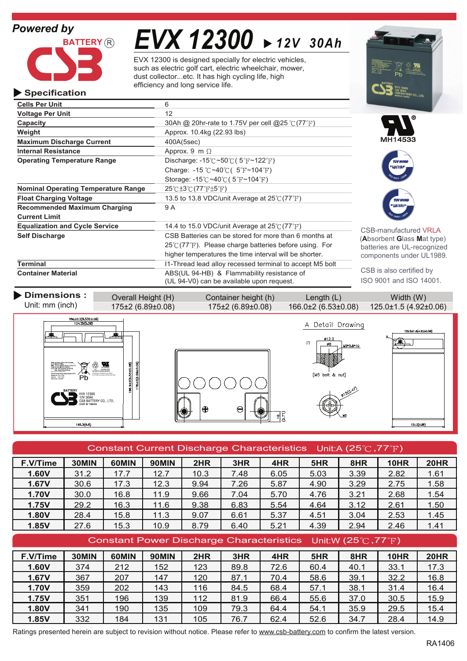

# *EVX 12300 12V 30Ah*

EVX 12300 is designed specially for electric vehicles, such as electric golf cart, electric wheelchair, mower, dust collector...etc. It has high cycling life, high efficiency and long service life.

| Specification                              |                                                                               | 12V 30Ah<br>CSB BATTERY CO., LTD |
|--------------------------------------------|-------------------------------------------------------------------------------|----------------------------------|
| <b>Cells Per Unit</b>                      | 6                                                                             |                                  |
| <b>Voltage Per Unit</b>                    | 12                                                                            |                                  |
| Capacity                                   | 30Ah @ 20hr-rate to 1.75V per cell @25 $\degree$ (77 $\degree$ F)             |                                  |
| Weight                                     | Approx. 10.4kg (22.93 lbs)                                                    |                                  |
| <b>Maximum Discharge Current</b>           | 400A(5sec)                                                                    | MH14533                          |
| <b>Internal Resistance</b>                 | Approx. 9 m $\Omega$                                                          |                                  |
| <b>Operating Temperature Range</b>         | Discharge: $-15^{\circ}\text{C} \sim 50^{\circ}\text{C}$ (5°F $\sim$ 122°F)   | <b>TUV NORI</b>                  |
|                                            | Charge: -15 °C ~40 °C ( $5$ °F ~104 °F)                                       |                                  |
|                                            | Storage: $-15^{\circ}$ C ~40 $\circ$ C (5 <sup>°</sup> F ~104 <sup>°</sup> F) |                                  |
| <b>Nominal Operating Temperature Range</b> | $25^{\circ}$ C $\pm 3^{\circ}$ C $(77^{\circ}$ F $\pm 5^{\circ}$ F)           |                                  |
| <b>Float Charging Voltage</b>              | 13.5 to 13.8 VDC/unit Average at $25^{\circ}C(77^{\circ}F)$                   | <b>TUV NORD</b>                  |
| <b>Recommended Maximum Charging</b>        | 9 A                                                                           | <b><i>MARK PRODUCT</i></b>       |
| <b>Current Limit</b>                       |                                                                               |                                  |
| <b>Equalization and Cycle Service</b>      | 14.4 to 15.0 VDC/unit Average at 25°C (77°F)                                  | CSB-manufactured VRLA            |
| <b>Self Discharge</b>                      | CSB Batteries can be stored for more than 6 months at                         | (Absorbent Glass Mat type)       |
|                                            | $25^{\circ}$ (77°F). Please charge batteries before using. For                | batteries are UL-recognized      |
|                                            | higher temperatures the time interval will be shorter.                        | components under UL1989.         |
| Terminal                                   | I1-Thread lead alloy recessed terminal to accept M5 bolt                      |                                  |
| <b>Container Material</b>                  | ABS(UL 94-HB) & Flammability resistance of                                    | CSB is also certified by         |
|                                            | (UL 94-V0) can be available upon request.                                     | ISO 9001 and ISO 14001.          |

| Dimensions :<br>Unit: mm (inch) | Overall Height (H)     | Container height (h)   | Length $(L)$                  | Width (W)             |
|---------------------------------|------------------------|------------------------|-------------------------------|-----------------------|
|                                 | $175\pm2(6.89\pm0.08)$ | $175\pm2(6.89\pm0.08)$ | $166.0 \pm 2 (6.53 \pm 0.08)$ | 125.0±1.5 (4.92±0.06) |
|                                 |                        |                        |                               |                       |





M5\*0.8\*10 [M5 bolt & nut] 120.47)

A Detail Drawing

 $\overline{11}$ 



| Constant Current Discharge Characteristics Unit:A (25 $\degree$ C, 77 $\degree$ F) |       |       |              |      |      |      |      |      |             |             |
|------------------------------------------------------------------------------------|-------|-------|--------------|------|------|------|------|------|-------------|-------------|
| F.V/Time                                                                           | 30MIN | 60MIN | <b>90MIN</b> | 2HR  | 3HR  | 4HR  | 5HR  | 8HR  | 10HR        | <b>20HR</b> |
| 1.60V                                                                              | 31.2  | 17.7  | 12.7         | 10.3 | 7.48 | 6.05 | 5.03 | 3.39 | 2.82        | 1.61        |
| <b>1.67V</b>                                                                       | 30.6  | 17.3  | 12.3         | 9.94 | 7.26 | 5.87 | 4.90 | 3.29 | 2.75        | 1.58        |
| 1.70V                                                                              | 30.0  | 16.8  | 11.9         | 9.66 | 7.04 | 5.70 | 4.76 | 3.21 | 2.68        | 1.54        |
| 1.75V                                                                              | 29.2  | 16.3  | 11.6         | 9.38 | 6.83 | 5.54 | 4.64 | 3.12 | 2.61        | 1.50        |
| 1.80V                                                                              | 28.4  | 15.8  | 11.3         | 9.07 | 6.61 | 5.37 | 4.51 | 3.04 | 2.53        | 1.45        |
| 1.85V                                                                              | 27.6  | 15.3  | 10.9         | 8.79 | 6.40 | 5.21 | 4.39 | 2.94 | 2.46        | 1.41        |
| Constant Power Discharge Characteristics Unit:W (25 $\degree$ C, 77 $\degree$ F)   |       |       |              |      |      |      |      |      |             |             |
| F.V/Time                                                                           | 30MIN | 60MIN | 90MIN        | 2HR  | 3HR  | 4HR  | 5HR  | 8HR  | <b>10HR</b> | <b>20HR</b> |
| 1.60V                                                                              | 374   | 212   | 152          | 123  | 89.8 | 72.6 | 60.4 | 40.1 | 33.1        | 17.3        |

<mark>1.67V | 3</mark>67 | 207 | 147 | 120 | 87.1 | 70.4 | 58.6 | 39.1 | 32.2 | 16.8 <mark>1.70V | 359 | 202 | 143 | 116 | 84.5 | 68.4 | 57.1 | 38.1 | 31.4 | 16.4</mark> <mark>1.75V | 3</mark>51 | 196 | 139 | 112 | 81.9 | 66.4 | 55.6 | 37.0 | 30.5 | 15.9 <mark>1.80V | 341 | 190 | 135 | 109 | 79.3 | 64.4 | 54.1 | 35.9 | 29.5 | 15.4</mark>

| <b>1.85V</b>                                                                                                                        | 332 | 184 | 131 | 105 | 76.7 | $62.4$ 52.6 | 34.7 | 28.4 | 14.9 |
|-------------------------------------------------------------------------------------------------------------------------------------|-----|-----|-----|-----|------|-------------|------|------|------|
| Ratings presented herein are subject to revision without notice. Please refer to www.csb-battery.com to confirm the latest version. |     |     |     |     |      |             |      |      |      |